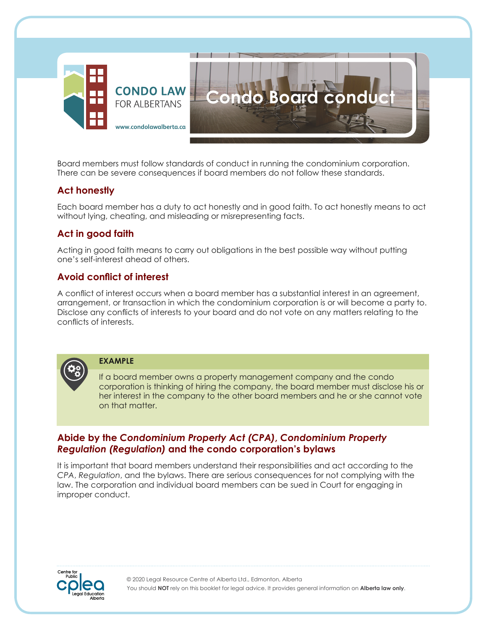

Board members must follow standards of conduct in running the condominium corporation. There can be severe consequences if board members do not follow these standards.

### **Act honestly**

Each board member has a duty to act honestly and in good faith. To act honestly means to act without lying, cheating, and misleading or misrepresenting facts.

## **Act in good faith**

Acting in good faith means to carry out obligations in the best possible way without putting one's self-interest ahead of others.

## **Avoid conflict of interest**

A conflict of interest occurs when a board member has a substantial interest in an agreement, arrangement, or transaction in which the condominium corporation is or will become a party to. Disclose any conflicts of interests to your board and do not vote on any matters relating to the conflicts of interests.



**EXAMPLE**

If a board member owns a property management company and the condo corporation is thinking of hiring the company, the board member must disclose his or her interest in the company to the other board members and he or she cannot vote on that matter.

#### **Abide by the** *Condominium Property Act (CPA)***,** *Condominium Property Regulation (Regulation)* **and the condo corporation's bylaws**

It is important that board members understand their responsibilities and act according to the *CPA*, *Regulation*, and the bylaws. There are serious consequences for not complying with the law. The corporation and individual board members can be sued in Court for engaging in improper conduct.